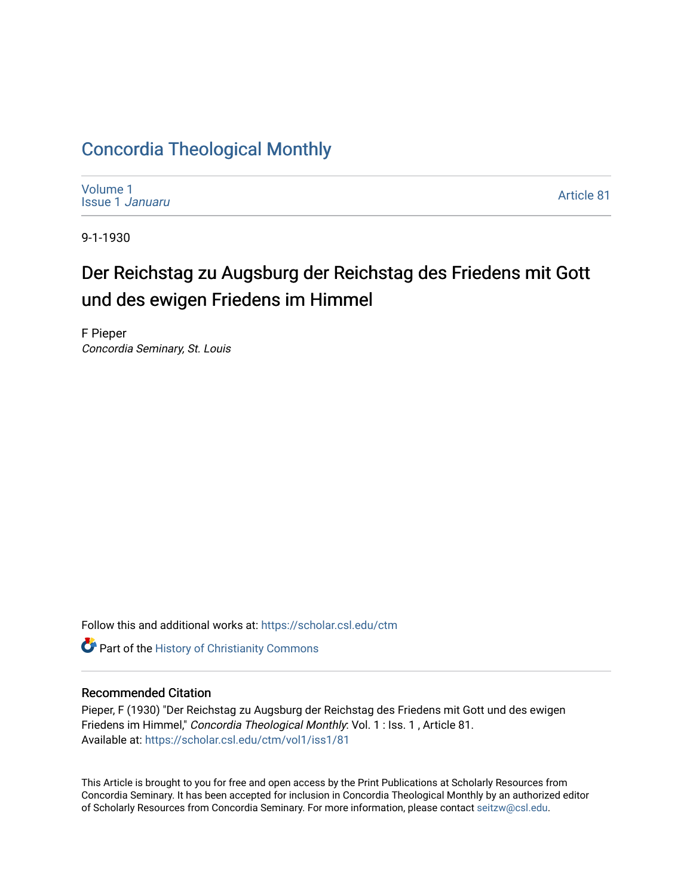# [Concordia Theological Monthly](https://scholar.csl.edu/ctm)

[Volume 1](https://scholar.csl.edu/ctm/vol1) [Issue 1](https://scholar.csl.edu/ctm/vol1/iss1) Januaru

[Article 81](https://scholar.csl.edu/ctm/vol1/iss1/81) 

9-1-1930

# Der Reichstag zu Augsburg der Reichstag des Friedens mit Gott und des ewigen Friedens im Himmel

F Pieper Concordia Seminary, St. Louis

Follow this and additional works at: [https://scholar.csl.edu/ctm](https://scholar.csl.edu/ctm?utm_source=scholar.csl.edu%2Fctm%2Fvol1%2Fiss1%2F81&utm_medium=PDF&utm_campaign=PDFCoverPages)

**Part of the History of Christianity Commons** 

## Recommended Citation

Pieper, F (1930) "Der Reichstag zu Augsburg der Reichstag des Friedens mit Gott und des ewigen Friedens im Himmel," Concordia Theological Monthly: Vol. 1 : Iss. 1, Article 81. Available at: [https://scholar.csl.edu/ctm/vol1/iss1/81](https://scholar.csl.edu/ctm/vol1/iss1/81?utm_source=scholar.csl.edu%2Fctm%2Fvol1%2Fiss1%2F81&utm_medium=PDF&utm_campaign=PDFCoverPages)

This Article is brought to you for free and open access by the Print Publications at Scholarly Resources from Concordia Seminary. It has been accepted for inclusion in Concordia Theological Monthly by an authorized editor of Scholarly Resources from Concordia Seminary. For more information, please contact [seitzw@csl.edu](mailto:seitzw@csl.edu).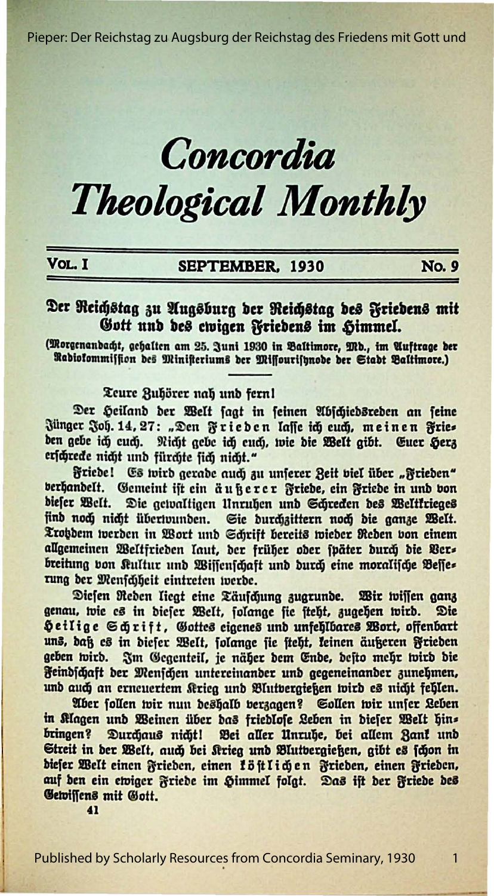Pieper: Der Reichstag zu Augsburg der Reichstag des Friedens mit Gott und

# Concordia **Theological Monthly**

#### Vol. I

#### SEPTEMBER. 1930

**No.** 9

## Der Reichstag zu Augsburg der Reichstag des Friedens mit Gott und des ewigen Friedens im Himmel.

(Morgenandacht, gehalten am 25. Juni 1930 in Baltimore, Mb., im Auftrage der Rabiolommiffion des Ministeriums der Miffourisynode der Stadt Baltimore.)

#### Teure Zuhörer nab und fern!

Der Heiland der Welt sagt in feinen Abschiedsreden an feine Jünger Joh. 14, 27: "Den Frieden laffe ich euch, meinen Fries den gebe ich euch. Nicht gebe ich euch, wie die Welt gibt. Euer Herz erschrede nicht und fürchte sich nicht."

Friede! Es wird gerade auch zu unserer Zeit viel über "Frieden" berhandelt. Gemeint ist ein äußerer Friede, ein Friede in und bon<br>dieser Welt. Die gewaltigen Unruhen und Schrecken des Weltkrieges find noch nicht überwunden. Sie durchzittern noch die ganze Welt. Trobdem werden in Wort und Schrift bereits wieder Reden von einem allgemeinen Weltfrieden laut, der früher oder später durch die Verbreitung von Kultur und Wissenschaft und durch eine moralische Besserung der Menschheit eintreten werde.

Diesen Reden liegt eine Täuschung zugrunde. Wir wissen ganz genau, wie es in diefer Welt, folange fie fteht, zugehen wird. **Die** Heilige Schrift, Gottes eigenes und unfehlbares Wort, offenbart uns, daß es in diefer Welt, folange fie steht, keinen äußeren Frieden geben wird. Im Gegenteil, je näher dem Ende, defto mehr wird die Feindschaft der Menschen untereinander und gegeneinander zunehmen, und auch an erneuertem Krieg und Blutvergießen wird es nicht fehlen.

Aber follen wir nun deshalb verzagen? Sollen wir unfer Leben in Klagen und Weinen über das friedlose Leben in diefer Welt hins bringen? Durchaus nicht! Bei aller Unruhe, bei allem Zank und Streit in der Welt, auch bei Krieg und Blutbergießen, gibt es schon in dieser Welt einen Frieden, einen köstlichen Frieden, einen Frieden, auf den ein ewiger Friede im Himmel folgt. Das ist der Friede des Gewissens mit Gott.

41

Published by Scholarly Resources from Concordia Seminary, 1930

 $\mathbf{1}$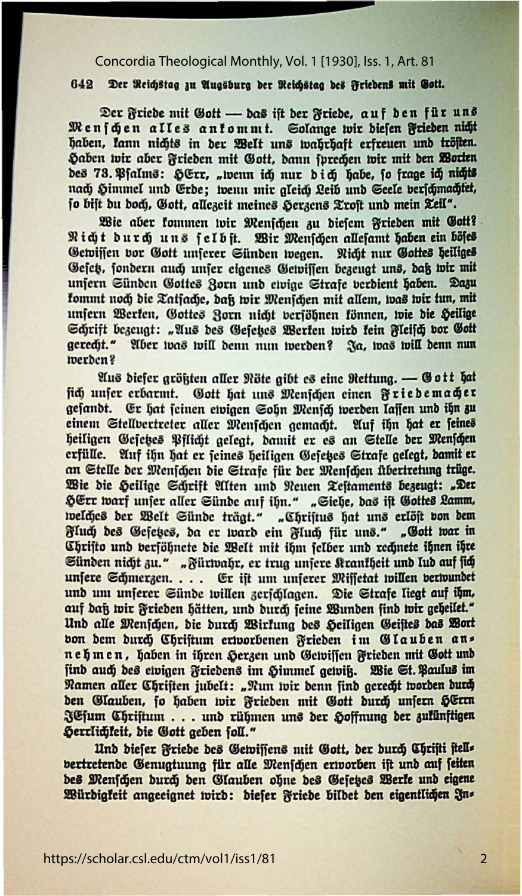#### Concordia Theological Monthly, Vol. 1 [1930], Iss. 1, Art. 81

#### 642 Der Reichstag zu Augsburg der Reichstag des Friedens mit Gott.

Der Friede mit Gott - das ift der Friede, auf den für uns Menschen alles antommt. Solange wir diesen Frieden nicht haben, kann nichts in der Welt uns wahrhaft erfreuen und tröften. Haben wir aber Frieden mit Gott, dann sprechen wir mit den Worten des 73. Pfalms: HErr, "wenn ich nur dich habe, fo frage ich nichts nach Himmel und Erbe; wenn mir gleich Leib und Seele verschmachtet, jo bijt du doch, Gott, allezeit meines Herzens Trost und mein Teil".

Wie aber kommen wir Menschen zu diesem Frieden mit Gott? Richt durch uns felbit. Wir Menschen allesamt haben ein bojes Gewissen vor Gott unferer Sünden wegen. Nicht nur Gottes heiliges Gefet, fondern auch unfer eigenes Gewiffen bezeugt uns, daß wir mit unjern Sünden Gottes Rorn und ewige Strafe verdient haben. Dazu fommt noch die Tatsache, daß wir Menschen mit allem, was wir tun, mit unsern Werfen, Gottes Zorn nicht verföhnen fönnen, wie die Heilige Schrift bezeugt: "Aus des Gesekes Werken wird kein Kleisch vor Gott gerecht." Aber was will denn nun werden? Ja, was will denn nun werben?

Aus dieser größten aller Nöte gibt es eine Rettung. - Gott hat sich unfer erbarmt. Gott hat uns Menschen einen Friedemacher gesandt. Er hat seinen ewigen Sohn Mensch werden lassen und ihn zu einem Stellvertreter aller Menschen gemacht. Auf ihn hat er feines heiligen Gesetzes Pflicht gelegt, damit er es an Stelle der Menschen erfülle. Auf ihn hat er feines heiligen Gesetzes Strafe gelegt, damit er an Stelle der Menschen die Strafe für der Menschen übertretung trüge. Wie die Heilige Schrift Alten und Neuen Testaments bezeugt: "Der HErr warf unfer aller Sünde auf ihn." "Siehe, das ift Gottes Lamm, welches der Welt Sünde trägt." "Chriftus hat uns erlöst von dem Fluch des Gesetzes, da er ward ein Fluch für uns." "Gott war in Christo und verföhnete die Welt mit ihm selber und rechnete ihnen ihre Sünden nicht zu." "Fürwahr, er trug unsere Krankheit und lud auf sich unsere Schmerzen. . . . Er ist um unserer Missetat willen verwundet und um unserer Sünde willen zerschlagen. Die Strafe liegt auf ihm, auf daß wir Frieden hätten, und durch feine Wunden find wir geheilet." Und alle Menschen, die durch Wirkung des Seiligen Geistes das Wort bon dem durch Christum erworbenen Frieden im Glauben ans nehmen, haben in ihren Herzen und Gewissen Frieden mit Gott und find auch des etvigen Friedens im Himmel getviß. Wie St. Paulus im Namen aller Christen jubelt: "Nun wir denn find gerecht worden durch den Glauben, jo haben wir Frieden mit Gott durch unsern Hern 3Cjum Christum . . . und rühmen uns der Hoffnung der zufünftigen Herrlichkeit, die Gott geben foll."

Und dieser Friede des Gewissens mit Gott, der durch Christi stells bertretende Genugtuung für alle Menschen erworben ist und auf seiten des Menschen durch den Glauben ohne des Gesetzes Werke und eigene Würdigkeit angeeignet wird: dieser Friede bildet den eigentlichen Ins

 $\overline{2}$